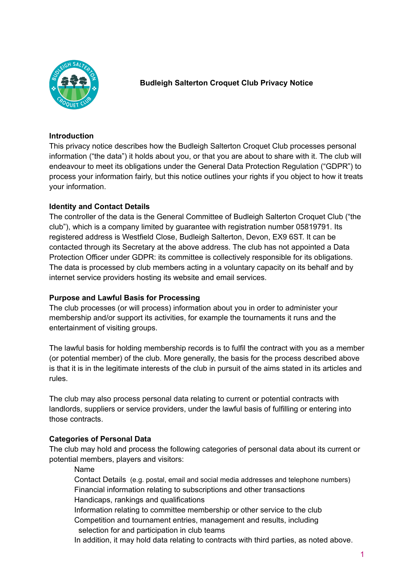

# **Budleigh Salterton Croquet Club Privacy Notice**

### **Introduction**

This privacy notice describes how the Budleigh Salterton Croquet Club processes personal information ("the data") it holds about you, or that you are about to share with it. The club will endeavour to meet its obligations under the General Data Protection Regulation ("GDPR") to process your information fairly, but this notice outlines your rights if you object to how it treats your information.

# **Identity and Contact Details**

The controller of the data is the General Committee of Budleigh Salterton Croquet Club ("the club"), which is a company limited by guarantee with registration number 05819791. Its registered address is Westfield Close, Budleigh Salterton, Devon, EX9 6ST. It can be contacted through its Secretary at the above address. The club has not appointed a Data Protection Officer under GDPR: its committee is collectively responsible for its obligations. The data is processed by club members acting in a voluntary capacity on its behalf and by internet service providers hosting its website and email services.

# **Purpose and Lawful Basis for Processing**

The club processes (or will process) information about you in order to administer your membership and/or support its activities, for example the tournaments it runs and the entertainment of visiting groups.

The lawful basis for holding membership records is to fulfil the contract with you as a member (or potential member) of the club. More generally, the basis for the process described above is that it is in the legitimate interests of the club in pursuit of the aims stated in its articles and rules.

The club may also process personal data relating to current or potential contracts with landlords, suppliers or service providers, under the lawful basis of fulfilling or entering into those contracts.

# **Categories of Personal Data**

The club may hold and process the following categories of personal data about its current or potential members, players and visitors:

Name

Contact Details (e.g. postal, email and social media addresses and telephone numbers) Financial information relating to subscriptions and other transactions Handicaps, rankings and qualifications

Information relating to committee membership or other service to the club Competition and tournament entries, management and results, including

selection for and participation in club teams

In addition, it may hold data relating to contracts with third parties, as noted above.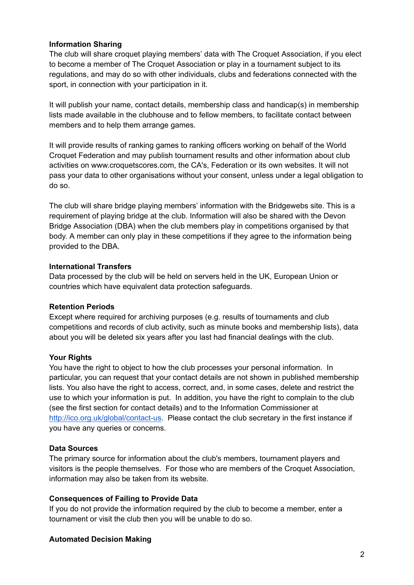# **Information Sharing**

The club will share croquet playing members' data with The Croquet Association, if you elect to become a member of The Croquet Association or play in a tournament subject to its regulations, and may do so with other individuals, clubs and federations connected with the sport, in connection with your participation in it.

It will publish your name, contact details, membership class and handicap(s) in membership lists made available in the clubhouse and to fellow members, to facilitate contact between members and to help them arrange games.

It will provide results of ranking games to ranking officers working on behalf of the World Croquet Federation and may publish tournament results and other information about club activities on www.croquetscores.com, the CA's, Federation or its own websites. It will not pass your data to other organisations without your consent, unless under a legal obligation to do so.

The club will share bridge playing members' information with the Bridgewebs site. This is a requirement of playing bridge at the club. Information will also be shared with the Devon Bridge Association (DBA) when the club members play in competitions organised by that body. A member can only play in these competitions if they agree to the information being provided to the DBA.

#### **International Transfers**

Data processed by the club will be held on servers held in the UK, European Union or countries which have equivalent data protection safeguards.

#### **Retention Periods**

Except where required for archiving purposes (e.g. results of tournaments and club competitions and records of club activity, such as minute books and membership lists), data about you will be deleted six years after you last had financial dealings with the club.

#### **Your Rights**

You have the right to object to how the club processes your personal information. In particular, you can request that your contact details are not shown in published membership lists. You also have the right to access, correct, and, in some cases, delete and restrict the use to which your information is put. In addition, you have the right to complain to the club (see the first section for contact details) and to the Information Commissioner at [http://ico.org.uk/global/contact-us.](http://ico.org.uk/global/contact-us) Please contact the club secretary in the first instance if you have any queries or concerns.

# **Data Sources**

The primary source for information about the club's members, tournament players and visitors is the people themselves. For those who are members of the Croquet Association, information may also be taken from its website.

# **Consequences of Failing to Provide Data**

If you do not provide the information required by the club to become a member, enter a tournament or visit the club then you will be unable to do so.

#### **Automated Decision Making**